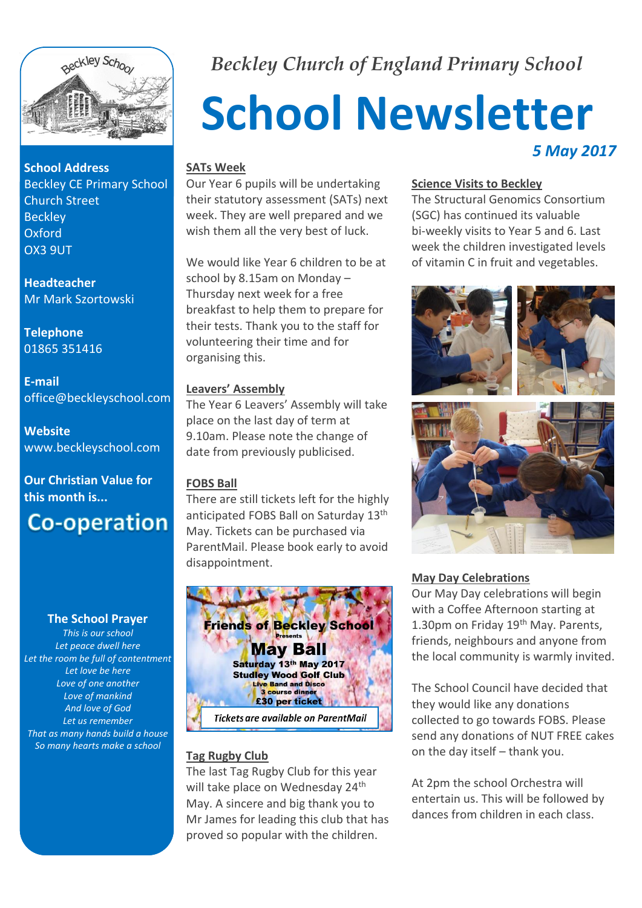

**School Address** Beckley CE Primary School Church Street **Beckley** Oxford OX3 9UT

**Headteacher** Mr Mark Szortowski

**Telephone** 01865 351416

**E-mail** office@beckleyschool.com

**Website** www.beckleyschool.com

**Our Christian Value for this month is...**

# **Co-operation**

#### **The School Prayer**

*This is our school Let peace dwell here Let the room be full of contentment Let love be here Love of one another Love of mankind And love of God Let us remember That as many hands build a house So many hearts make a school*

*Beckley Church of England Primary School*

# **School Newsletter** *5 May 2017*

#### **SATs Week**

Our Year 6 pupils will be undertaking their statutory assessment (SATs) next week. They are well prepared and we wish them all the very best of luck.

We would like Year 6 children to be at school by 8.15am on Monday – Thursday next week for a free breakfast to help them to prepare for their tests. Thank you to the staff for volunteering their time and for organising this.

#### **Leavers' Assembly**

The Year 6 Leavers' Assembly will take place on the last day of term at 9.10am. Please note the change of date from previously publicised.

#### **FOBS Ball**

There are still tickets left for the highly anticipated FOBS Ball on Saturday 13<sup>th</sup> May. Tickets can be purchased via ParentMail. Please book early to avoid disappointment.



# **Tag Rugby Club**

The last Tag Rugby Club for this year will take place on Wednesday 24<sup>th</sup> May. A sincere and big thank you to Mr James for leading this club that has proved so popular with the children.

#### **Science Visits to Beckley**

The Structural Genomics Consortium (SGC) has continued its valuable bi-weekly visits to Year 5 and 6. Last week the children investigated levels of vitamin C in fruit and vegetables.



#### **May Day Celebrations**

Our May Day celebrations will begin with a Coffee Afternoon starting at 1.30pm on Friday 19<sup>th</sup> May. Parents, friends, neighbours and anyone from the local community is warmly invited.

The School Council have decided that they would like any donations collected to go towards FOBS. Please send any donations of NUT FREE cakes on the day itself – thank you.

At 2pm the school Orchestra will entertain us. This will be followed by dances from children in each class.